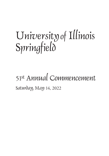# University of Illinois Springfield

# 51st Annual Commencement Saturday, May 14, 2022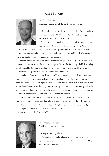### **Greetings**



Donald J. Edwards Chairman, University of Illinois Board of Trustees

 On behalf of the University of Illinois Board of Trustees, and as a proud alumnus of the U of I System, I am honored to bring greetings and congratulations to the Class of 2022!

 You have been through so much to reach today's milestone, juggling your studies with the historic challenges of a global pandemic.

In the process, you have done even more than achieve your dreams. You have also helped make our universities among the safest in our nation – a model for our peers – and I am deeply grateful for your understanding, your cooperation and your sacrifice.

 Although it has been a few years since I was in the seat you are in today, I still remember the mix of excitement and anxiety I felt, not knowing exactly what the future might hold. That feeling is understandable. But rest assured that the world-class education you received here, in and out of the classroom, has given you the foundation to succeed and flourish.

 As you head off to make your mark on the world, know you carry a bond that forever connects you to your years on this remarkable campus. You are joining one of the world's largest alumni networks – nearly 800,000 strong from across the U of I System's three, best-in-class universities. As our alumni have since our founding over 150 years ago, I hope you will carry our flag with pride. Your successes will carry us forward, adding to our global reputation for excellence and attracting the new generations of students who want to follow in your footsteps.

 I hope you will come back to campus often – to share your achievements, your experiences and your insights. And as you are out there changing and improving society, the entire world over, know that all of us you have left behind will be working for you, ensuring that the value and prestige of the degree you worked so hard to earn continues to grow.

Congratulations again, Class of 2022!



Dr. Timothy L. Killeen President, University of Illinois

Congratulations, graduates!

 There are a small handful of days in life that you never forget. From my own experience, I can tell you that today is one of them, so I hope you savor every minute of it.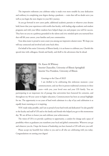The impressive milestone you celebrate today is made even more notable by your dedication and resiliency in completing your degree during a pandemic -– traits that will no doubt serve you well as you begin the next chapter in your life's journey.

 As you go forward in new career paths, additional academic pursuits or whatever your dreams hold, know that your experiences with world-class faculty, with leading-edge academic and student programs and with your fellow students have helped shape you and prepare you well for success. They have set you on a pathway grounded in the talents and civic-minded spirit you nurtured here that will lift your careers, your families and your communities.

 Your alma mater is proud to soon count you among our impressive alumni roster. We hope you will stay connected and involved and come back often.

 On behalf of the entire University of Illinois family, it is an honor to celebrate you. Cherish this special time with colleagues, friends and family, and thrill to the adventures that lie ahead.



Dr. Karen M.Whitney Interim Chancellor, University of Illinois Springfield Interim Vice President, University of Illinois

#### Greetings to the Class of 2022!

I am thrilled to be celebrating this milestone moment—your commencement, and our first in-person traditional ceremony in three years—with you, your loved ones and your UIS family. You are

participating in an important rite of passage that universities have honored for centuries, and throughout my 40-year career in higher education, Commencement has been an annual highlight for me. The opportunity to see years of hard work culminate in a day of joy and celebration is as equally heart-warming as it is inspiring.

YOU made today possible, and I am so proud of your hard work and dedication! I'm also grateful to the faculty and staff of UIS and to the family and friends who helped you get to this momentous day. We are all here to honor you and celebrate your achievements.

The vision of UIS is to provide a pathway to opportunity, a catalyst for change and a space of possibility where as graduates you transform your local and global communities. Wherever you go and whatever you do, I hope the lessons of leadership you have learned at UIS will serve you well.

Please accept my heartfelt best wishes to you and to all who are celebrating with you today. Congratulations on earning your degree!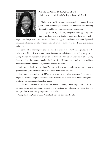

#### Rikeesha V. Phelon, '99 PAA, MA '05 LAS Chair, University of Illinois Springfield Alumni Board

Welcome to the UIS Alumni Association! This supportive and global alumni community of more than 45,000 graduates is united by rich traditions of loyalty, excellence and service to society.

Your graduation is just the beginning of an exciting journey. It's a time to celebrate and give thanks to those who have supported or

helped you along the way. It's a time to embrace the opportunities before you. Your degree will open doors which you never knew existed, and allow you to pursue your life's dreams, passions and ambitions.

Be confident in knowing you share a connection with over 810,000 living graduates of the University of Illinois System, a powerhouse for education and discovery, and widely recognized as among the most innovative university systems in the world. Wherever life takes you, you'll be among those who share the common bond of the University of Illinois degree, and who are making a difference in their neighborhoods, communities and the world.

Make sure to display your diploma! You earned it – be proud and show the world you're a graduate of UIS, and what it means to you. Education is to be celebrated.

Help recruit a new student to UIS! You know exactly what it takes to succeed. The value of our degree will continue to grow with intelligent, hardworking students from diverse backgrounds coming through the doors of our alma mater.

Finally, join UIS Unite! It's our brand new online community connecting alumni and students for career success and community. Expand your professional network, learn new skills, find your next great hire or your next great job at unite.uis.edu.

Congratulations, Class of 2022! Work hard. Be bold. Stay true. Be UIS.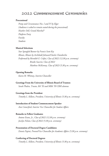### 2022 Commencement Ceremonies

#### **Processional**

 *Pomp and Circumstance Nos. I and IV by Elgar (Audience is asked to remain seated during the processional) Heather Dell, Grand Marshal\* Platform Party Faculty Students*

#### **Musical Selections**

 *Star Spangled Banner by Francis Scott Key Illinois, Illinois by Archibald Johnson/Charles Chamberlin Performed by Meredith E. Crifasi, Class of 2022 (12:30 p.m. ceremony) Brooke Seacrist, Class of 2022 Matthew McKenney, Class of 2023 (5:30 p.m. ceremony)*

#### **Opening Remarks**

 *Karen M. Whitney, Interim Chancellor*

#### **Greetings From the University of Illinois Board of Trustees**

 *Sarah Phalen, Trustee, BA '93 and MBA '99 CBM alumna* 

#### **Greetings from the President**

 *Timothy L. Killeen, President, University of Illinois (5:30 p.m. ceremony)*

#### **Introduction of Student Commencement Speaker**

 *Ann Comerford, Interim Vice Chancellor for Student Affairs*

#### **Remarks to Fellow Graduates**

 *Antone Evans, Jr., Class of 2022 (12:30 p.m. ceremony) Jocelyn Nelson, Class of 2022 (5:30 p.m. ceremony)*

#### **Presentation of Doctoral Degree Candidates**

 *Dennis Papini, Provost/Vice Chancellor for Academic Affairs (5:30 p.m. ceremony)*

#### **Conferring of Doctoral Degrees**

 *Timothy L. Killeen, President, University of Illinois (5:30 p.m. ceremony)*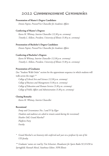### 2022 Commencement Ceremonies

#### **Presentation of Master's Degree Candidates**

 *Dennis Papini, Provost/Vice Chancellor for Academic Affairs*

#### **Conferring of Master's Degrees**

 *Karen M. Whitney, Interim Chancellor (12:30 p.m. ceremony) Timothy L. Killeen, President, University of Illinois (5:30 p.m. ceremony)*

#### **Presentation of Bachelor's Degree Candidates**

 *Dennis Papini, Provost/Vice Chancellor for Academic Affairs*

#### **Conferring of Bachelor's Degrees**

 *Karen M Whitney, Interim Chancellor (12:30 p.m. ceremony) Timothy L. Killeen, President, University of Illinois (5:30 p.m. ceremony)*

#### **Presentation of Graduates**

(See "Student Walk Order" section for the approximate sequence in which students will walk across the stage) \*\*

 *College of Liberal Arts and Sciences (12:30 p.m. ceremony) College of Business and Management (5:30 p.m. ceremony) College of Education and Human Services (5:30 p.m. ceremony) College of Public Affairs and Administration (5:30 p.m. ceremony)*

#### **Closing Remarks**

 *Karen M. Whitney, Interim Chancellor*

#### **Recessional**

 *Pomp and Circumstance Nos. I and IV by Elgar (Students and audience are asked to remain seated during the recessional) Heather Dell, Grand Marshal\* Platform Party Faculty*

*\* Grand Marshal is an honorary title conferred each year on a professor by vote of the UIS faculty.*

*\*\* Graduates' names are read by Tim Schweizer, Broadcaster for Sports Radio 92.3/1450 in Springfield; Hannah Meisel, Statehouse Editor, NPR Illinois*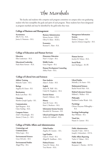### The Marshals

 The faculty and students who comprise each program committee on campus select one graduating student who best exemplifies the goals and spirit of each program. Those students have been designated as program marshals and may be identified by the gold stoles they wear.

#### **College of Business and Management**

**Accountancy** Allie N. Fry – B.A. Jessica A. Simmons – M.A.

**Business Administration** Menno Servaes – B.B.A. Olivia N. Klein – M.B.A.

**Economics** Rommel C. Shaw – B.A. **Management Information Systems** Kaitlyn J. Kemper – B.S. Apoorva Acharya Lingachar – M.S.

#### **College of Education and Human Services**

**Education** Ellen Linderman – M.A.

**Educational Leadership** Paula Marie Stewart – M.A. **Elementary Education** Nyla Y. Cooper – B.A.

**Middle Grades**  Grace Negron – B.A.

**Human Development Counseling** Ashley Pruitt – M.A.

**Human Services** Jocelyn M. Nelson – M.A.

**Social Work** Janet Rodriguez – B.S.W.

#### **College of Liberal Arts and Sciences**

**Athletic Training** Malcolm Taylor – M.A.

**Biology** Angelina M. Einert – B.S.

**Biochemistry** Becky Lynn Rose – B.S.

**Chemistry** Matthew Joseph Lapsley – B.S.

**Communication** April Bergman – B.A. Claire Starling – M.A.

**Computer Science** Zelal S. Mustafaoglu – B.S. Antone J. Evans, Jr. – M.S.

**Data Analytics** Adam S. Avalos – M.S.

**English** Alison W. Pfaff – B.A. Cindy M. Daugherty – M.A.

**Exercise Science**  Daniel J. Mahony – B.S.

**History** Anna M. Curry – B.A. Katie L. Brethorst – M.A.

**Information Systems Security** Meredith M. Niermann – B.S.

**Liberal and Integrative Studies** Amilyn M. Gabbard – M.A.

**Liberal Studies** Michelle J. De Sutter – B.A.

**Mathematical Sciences** Rachel Nicole Huls – B.A.

**Medical Laboratory Sciences**  Mildred L. Wallace – B.S.

**Philosophy** Kathleen Conlon Wasik – B.A.

**Psychology** Christa Cheyenne Willoughby – B.A.

**Sociology/Anthropology** Skye Williams – B.A.

**Visual Arts** Hasani A. Cannon – B.A.

#### **College of Public Affairs and Administration**

**Criminology and Criminal Justice** Yelixa Lopez – B.A.

**Environmental Sciences** Grace DeCarlo – M.S.

**Environmental Studies** Abigail Way – B.A.

**Global Studies** Angelica M. Linaries – B.A.

**Legal Studies** Claire E. Oettel – B.A. Abigail R. Smallman – M.A.

**Political Science** Taryn M. Christy – B.A. True Merritt – M.A.

**Public Administration** Danielle P. Kyle – M.P.A. Joseph J. Schweickert – D.P.A.

**Public Affairs Reporting** Taylor A. Vidmar – M.A.

**Public Health** Benjamin C. Fletcher – M.P.H.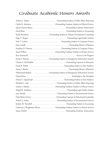### Graduate Academic Honors Awards

| Karlee Brimberry  Outstanding Student in Human Development Counseling               |
|-------------------------------------------------------------------------------------|
|                                                                                     |
|                                                                                     |
|                                                                                     |
|                                                                                     |
|                                                                                     |
|                                                                                     |
|                                                                                     |
|                                                                                     |
|                                                                                     |
|                                                                                     |
| Mohammad Rashed Outstanding Student in Management Information Systems               |
|                                                                                     |
| Denise C. Sagendorph (Contact Contact Contact Cutstanding Student in Data Analytics |
| Elizabeth L. Seils  Outstanding Student in Public Affairs Reporting                 |
| Stanley J. Sharkey Outstanding Graduate Student in Political Science                |
|                                                                                     |
|                                                                                     |
| Paula Marie Stewart  Outstanding Capstone in Educational Leadership                 |
|                                                                                     |
|                                                                                     |
| Catherine J. Weightman-Moore Outstanding Graduate Student in Human Services         |
| Susan Zwiebel (al. 1993) Museum Museum Museum Museum Museum Achievement             |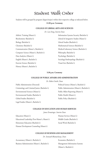### Student Walk Order

Students will be grouped by program (degree/major) within their respective college as indicated below.

#### **12:30 p.m. Ceremony**

#### **COLLEGE OF LIBERAL ARTS AND SCIENCES**

*Dr. Lan Dong, Interim Dean*

| Athletic Training (Master's)            |
|-----------------------------------------|
| Biochemistry (Bachelor's)               |
| Biology (Bachelor's)                    |
| Chemistry (Bachelor's)                  |
| Communication (Master's, Bachelor's)    |
| Computer Science (Master's, Bachelor's) |
| Data Analytics (Master's)               |
| English (Master's, Bachelor's)          |
| Exercise Science (Bachelor's)           |
| History (Master's, Bachelor's)          |

Information Systems Security (Bachelor's) Liberal & Integrative Studies (Master's) Liberal Studies (Bachelor's) Mathematical Sciences (Bachelor's) Medical Laboratory Science (Bachelor's) Philosophy (Bachelor's) Psychology (Bachelor's) Sociology/Anthropology (Bachelor's) Visual Arts (Bachelor's)

#### **5:30 p.m. Ceremony**

#### **COLLEGE OF PUBLIC AFFAIRS AND ADMINISTRATION**

#### *Dr. Robert Smith, Dean*

Public Administration (Doctoral) Political Science (Master's, Bachelor's) Criminology and Criminal Justice (Bachelor's) Public Administration (Master's, Bachelor's) Environmental Sciences (Master's) Public Affairs Reporting (Master's) Environmental Studies (Bachelor's) Public Health (Master's) Global Studies (Bachelor's) Public Policy (Bachelor's) Legal Studies (Master's, Bachelor's)

#### **COLLEGE OF EDUCATION AND HUMAN SERVICES**

*James Ermatinger, Interim Dean*

Education (Master's) 
Human Services (Master's) Educational Leadership (Post-Master's, Master's) Middle Grades (Bachelor's) Elementary Education (Bachelor's) Social Work (Bachelor's) Human Development Counseling (Master's)

#### **COLLEGE OF BUSINESS AND MANAGEMENT**

*Dr. Somnath Bhattacharya, Dean*

Accountancy (Master's, Bachelor's) Economics (Bachelor's) Business Administration (Master's, Bachelor's) Management Information Systems

(Master's, Bachelor's)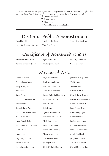Honors are a means of recognizing and encouraging superior academic achievement among baccalaureate candidates. Final designation of honors is subject to change due to final semester grades.

- ◆◆◆ Summa cum laude
- ◆◆ Magna cum laude
	- Cum laude
	- ✜ Capital Scholars Honors Student

# Doctor of Public Administration

Joseph J. Schweicker

Driss El Akrich (Group) Joseph J. Schweicker (Grystal Ellen Snodgrass

Jacqueline Lorraine Newman

Troy Gene Scott

# Certificate of Advanced Studies

Barbara Elizabeth Ballard Terrance DeWayne Jordan

Kylee Marie Orr Bradley John Polanin Lisa Leigh Schuenke

Candi Jo Shaver

# Master of Arts

Paige Vallely Brogan Jacob Morgan Brown Derricka T. Brownlow Callie Marie Brunswig Rachel Emily Kathleen Carter Lydia Jude Cernich Aaron Il Cha Lulu Cheng Cynthia Annette Cherry Desiree Andrea Childers Alexis Jean Coffey Kelly Renee Collinson Daniel John Connolly Megan Marie Cook Nathan Lee Cooper Jaycee Jo Craver Cindy Michelle Daugherty Jonathan Wesley Davis Tia N. Davis Susan DeBoer Rebecca K. Dein Melanie Tyler Demanes Bernard Thomas Donovan Kate Rose Dumstorff Lorie Angela Dwyer Blair Desloge Egan Katherine Farrell Patricia Lynn Fenton Brooke Renea Ferree Dustin Chavez Fletcher Angela Noel Ford Jacqueline R. Foster Amilyn M. Gabbard Maria Cristina Gardner Charles A. Aaron Andrew James Adams Natty A. Akpulonu Amy Aldy Sheila Amegan Caitlin Kristine Anderson Kaila Archibald Taylor Rebecca Avery Caitlin Rose Barrett Patton Aji Oumie Barrow Grant Patrick Beeler Elise Frances Scannell Black Sarah Blalock David Bone Leigh Seely Brannan Katie L. Brethorst Karlee Renee Brimberry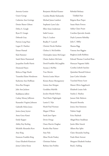Antonia Genisio Gracie George Catherine Ann Gettings Denise Sharee Gibson Debra A. Gough Ryan D. Gougis Deborah Gray Patricia Long Haas Logan D. Haefner Eiman Hamad Kala Hammer Sarah Marie Hammond Jacqueline Estelle Harris Desmond Hayes Rebecca Paige Heath Tatanisha Elaine Henderson Katherine Ann Hoffman Erica Rae Hougen Julie Ann Jackson Kaddijatou Jallow Cashay Monay Jefferson Kassandra Virginia Johnson Gabrielle Helen Jones Jessica Janay Joyner Anna Grace Kanai Emily Kapper Ashley Kay Keeling Michelle Alexandra Kero Amy King Emmons Franklin King Grace Elizabeth Kinnicutt Jenna Colette Kotas

Benjamin Michael Kramer Caroline Binder Kubzansky Michael James Lambert Stephanie Lynn Lelys Ellen Anna Linderman Isabel Lozoya Deja A. Luckett Bradley P. Luttrell Christin Nicole Mathias Chelsea A. McGlothlin Christopher James McGregor Chaim Andrew McGuire David Franklin McLaughlin Aryana J. McPike True Merritt Patricia Louise Meyer Kirsten Renee Montgomery Linnea Ann Morgan Geraldina Mulville Jocelyn Mariah Nelson Noel Marie Nightingale Lamin E. Njie Heath Paul Norman Megan O'Brien Sarah Jean Ogeto Devin Ortega Osasu Marvin Osaghae Kendra Mae Painter Amy Palo Alissa Nicole Pankey Christian Pedone Barbara Ann Peebles

Rebekah Bethany Tehillah Piatt Brigetta Rose Pieper Susan Marie Powers Ashley Claire Pruitt Carolina Quevedo Aranda Dayle Lynnette Rebelsky Julia C. Riffey Shanna Rigg Vanessa Ann Riggins Brighton Joelle Robbins Edward Thomas Crawford Rose Hateeyat Nagumsi Salifu Cynthia Lizbeth Sanchez Quinishai Shontell Scherer Juan Carlos Schrader Tearched Henry Scott Mason Olivia Seggebruch Elizabeth Louise Seils Stanley J. Sharkey Janson Dale Shehorn Shrayesh Shrestha Jessica Ann Simmons Nalinie Singh Erica Slayback Abigail Rose Smallman Justin Allen Smock Allison Rae Splitt Claire Alexandra Starling Paula Marie Stewart Margaret Elizabeth Strahan Brad J. Suhling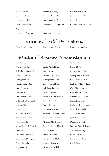Jacob C. Tebbe Carlis Lichelle Thomas Kaitlyn Marie Thornhill Lauren Mary Toner Angelica Marie Torres Carla Marie Townsend

Robin Crystal Vaughn Deena M. Vecchiollo Taylor Ann Marie Vidmar Catherine Jane Weightman- Moore Roderick A. Whiteside

Courtney Wiedeman Jasmin Lashonda Woolfolk Albert Zangrilli Cameron Nathaniel Zunkel

# Master of Athletic Training

Alexandra Marie Lauer Ryan Richard Margold Malcolm Jamison Taylor

### Master of Business Administration

Clayton Hamilton Bradley Wade Harden Erin Hartnett Matthew David Haury Robin Jesse Hendriks Lanie Victoria Hicks Sally Katherine Hixson Sarah E. Holmes Lauren Elizabeth Huffines Jesse Robert Hutton Amy S. Jenkins Olivia Noelle Klein Ashwin Kumar Komat Reddy Kelsey Elaine Kottapu Alexandra Magali Lucero Badria Mohammed Luteify Faiza M. Luteify Mitchell Malcolm Christopher G. Mathieu Tytianna Unique Murray Matthew Lee Nichols Rachel G. Pace Sydney N. Payne Aimee Jacqueline Rabeler Destiny Journet Ramsey Chad Arthur Rickman Frederick William Schaper Clara Christine Schmidt Cade Johnathan Sestak Kristan Brianne Shaffer Patrick James Shea Madeline Claire St. Aubin Elizabeth Rose Stehn Ann Therese Stone Johnathan H. Taylor Dolores Marie Tellez Lori-Ann Ashleigh Trusty Alexander Lee Voigt Chloe B. Watts Kenton Sydne Wilson Marvin Zott Fuad Bamidele Abina Rebecca Ann Allan Richard Alexander Anglin Laura Lynn Arnold Orevaoghene Ato Jeremiah Robert Balz James Patrick Belz Lars Brinkman James Robert Burke Blake Jordon Carmichael Jesus Castillo David A. Choi Ty Austin Clearwater Kaitlin Dawn Coultas Kaj Braxton Days Morgan Elizabeth Edwards Glorianna Esarco Gianmario David Falsone Conal Edward Gallagher Angela Gayle Gin Argjend Gizha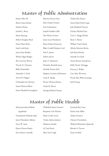# Master of Public Adminstration

| Kaelen Allen Ali           | Mayowa Dorcas Fanu         | Nathan Ray Painter          |
|----------------------------|----------------------------|-----------------------------|
| Brian Francis Becker       | John Charles Fermon        | Aaron Keith Pearl-Cropp     |
| Marlene Berlan             | Ann Frederickson           | Jade Elizabeth Petersen     |
| Jennifer J. Berry          | Joseph Franklin Gallo      | Zachary Michael Price       |
| Moses Boateng              | Alva Marina Gomez          | Traci L. Quigg Thomas       |
| Robert Douglass Boyd       | Jenny Lynn Henderson       | Ryan C. Rizner              |
| Diane Marie Boyle          | Elorm Kodzo Homawoo        | William Taylor Roark        |
| Sarah Leah Boyle           | Blake Cordell Hudson-Cecil | Alfredo Martinez Rocha      |
| Jason Dean Bradley         | Seth P. Jansen             | Jack Ryan Roither           |
| Wesley Edgar Bridges       | Aubrey Jarrett             | Amanda Lee Slack            |
| Roy Lawrence Brown         | James S. Johannsen         | Sravan Kumar Suryadevara    |
| Niccole D. Clements        | DeAmber Rochelle Jones     | Reilly Nicole Tebrugge      |
| <b>Blake Dannehold</b>     | Danielle Patricia Kyle     | Princess J. Walker          |
| Samantha S. Doak           | Meghan Courtney McNamara   | Cara Alyse Wewetzer         |
| Steven B. Doggett          | Cody R. Moake              | Nicole Elise White Jennings |
| Christopher Jay Downey     | Darren Thomas Monico       | Jared Young                 |
| Austin Warren Elliott      | Taylor R. Moore            |                             |
| Karen Elizabeth Everingham | Gbenga Michael Osatuyi     |                             |

# Master of Public Health

| Moyosooreoluwa Bukola    | Olubukola Idowu Faturoti |  |
|--------------------------|--------------------------|--|
| Agunbiade                | Benjamin Cole Fletcher   |  |
| Oyindamola Odunola Ajala | Marie Cecilia Green      |  |
| Janet Oluwakemi Ajiboso  | Tyesha Andrea Jackson    |  |
| Fawn W. Ames             | Abubacarr Kambi          |  |
| Queen Doreen Bassey      | Sri Vani Kareti          |  |
| Erin Aubrey Connolly     | Alina Yemi Leigh         |  |

Savannah Rae Leutz Karissa Ann Miller Andrea Nicastro Chioma Nwachukwu Waheed Oluwafemi Ogunwale Brittani A. Provost Susan Zwiebel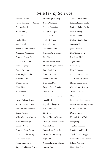# Master of Science

| Sohome Adhikari             | Rithesh Raj Chakraraj       | William Cole Fortner         |
|-----------------------------|-----------------------------|------------------------------|
| Rohith Kumar Reddy Adunoori | Nikhila Chalasani           | Lakulish Prakash Gandhi      |
| Beenish Ahmed               | Thomas Champion             | Benjamin Robert Gardner      |
| Karthik Aknapuram           | Sooraj Cherikaparambil      | Laura A. Hardy               |
| Imran Alam                  | Sundar Rajan                | Eboni R. Harris              |
| Eladio Aldana               | Sridhar Chinappa            | Madalyn Rosalie Hatch        |
| Ravi Teja Alli              | Jyothi Chinnam              | James Hockley                |
| Rayshawn Dareon Allison     | Christopher Clark           | Joy A. Hoffman               |
| Arumugam Alwarappan         | Jonathan David Clement      | Mila Gaylene Hose            |
| Benjamin George Takyi       | Kira Clouse                 | Brandon S. Hosley            |
| Anane-Asamoah               | William Blake Condrey       | Taylor Howe                  |
| Perry Andrysczyk            | Makayla Morgan Conners      | Brian Irving                 |
| Razmik Artonian             | Kevin Jacob Cox             | Elena S. Ivanova             |
| Adam Stephen Avalos         | Shawn J. Crahen             | John Edward Jacobsma         |
| Richard E. Baba             | Lee Donald Crank            | Appala Ramu Jagarapu         |
| Whitney Barnes              | Dean Dinh Dang              | Hussein Saleem Jawad         |
| Edward Barry                | Kenneth Frank Daquila       | Charles Robert Jenkins       |
| <b>Andrew Bates</b>         | Tania H. Das                | Shashank Jeripothula         |
| Matthew Bem                 | Grace Elizabeth DeCarlo     | Harshit Kapoor               |
| Nathan Anfernee Bethel      | Zeyad Deeb                  | Bounnong Khamphoumy          |
| Amber Elizabeth Blackert    | Dipendra Dhungana           | Danish Sukhdev Singh Khara   |
| Keven Michael Blackman      | Jamie Renee Diaz            | Christine Hana Kim           |
| Zakara Blanding             | Yibo Dong                   | Derek F. Koch                |
| Mehar Chaithanya Bollina    | Lynette Thatcher Dooley     | Kartheek Kumar Kodi          |
| Matthew Lane Boyd           | Temitayo Olanike Duduyemi   | Liang Kong                   |
| Danielle Brown              | Adam E. Eckert              | Tejashree Kummari            |
| Benjamin David Burger       | Antone Jason Evans. Jr.     | Jennifer Lynn Kunkel         |
| Caroline Elisabeth Cady     | Ashley Christina Fairley    | Tejesh Chandra Kuppili       |
| Seth Tylar Carlton          | Jorge Felix                 | Lakshmi Sai Dinesh Kurumilli |
| Roland James Carter         | Nicholas Ferraz de Oliveira | Rebecca Ann Leach            |
| Stephen Paul Reddy Chaganti | Antonio Flores              | Nolan Kane Legg              |
|                             |                             |                              |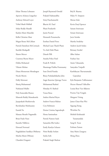Joseph Raymond Oswald Ethan Thomas Lehmann Apoorva Acharya Lingachar Anthony Edward Loyet Vishal Akash Malladi Srikar Reddy Mandli Kaitlyn Marie Manelski Kellie Christine Mast Megan Renee McCollum Patrick Danielson McCormack Karthik Medapalli Shawn Mercer Courtney Brynn Meyer Dekha Mohamed Vikram Mohan Diana Monserrate Mondragon Nicole Morris Dolly Motwani Shariq Muhammad Nathanael Mullet Nely Esmeralda Munoz Maneesh Reddy Munukuntla Jayaprakash Muthirevulu Ravishankar Muthusamy Eunsik Na Manasa Shruthi Nagamalla Brian Paulo Naoe Kaembe Ndhlovu Howard Norward Nagalakshmi Sandhya Obilisetty Martha Maria OMeany Chandini Oruganti

Prakash Padmanabha Sritej Panchumarthi Bhavin M. Patel Phani Pendurthi Justin Penrod Hemanth Penumuchu Esteban Daniel Perez Michael Luan Thanh Pham Vu Anh Dinh Pham Dinesh Pilli Anusha Police Patel Frank B. Policht Shanmuga Prabhu Ponnusamy Sean David Punska Binoy Puthalazhikathu John Angie Katerine Quiroga Torres Mohammad Rashed Himalay H. Rathod Varun Rena Andrea Marixel Reyes Andrew Francis Ridout Cory Robinson Denise Cristina Sagendorph Hema Saminathan Patrick Namon Sauls Samantha Ella Scalice Emily Katelyn Schuetz Nitin Reddy Seelam Sneha Seth Prakash Singh Shalwar

Haley N. Simpson Meena Solai Kevin Daryl Spencer Sairam Srinivasan Sriram Srinivasan Jocie Steinke Martha Stodolny Andrew Jacob Stokes Brittany Strobel Alber Sultan Fuzhuo Sun Annie Tabuanaba Samyukta Tatipelli Karthikeyan Thavuttamudu Gajendran Kyle Benjamin Tuffentsamer Hector Manuel Vallecillos Louisa Rose Van Akkeren Poorna Teja Vengala Margaret Vining James Chun-Han Wei Siguang Xiong Wenzhao Xu Mohith Krishnaiah Yanamandala Sung K. Yoon Farhana Zaman Amy Marie Zaragoza Meng Zhou

Brij B. Sharma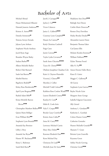# Bachelor of Arts

Michael Aboud Hasan Mohammed Alhazmi Hannah Jeanette Anderson◆◆ Kristen A. Aretos◆◆◆ Daniela Arizmendi◆ Ximena Arroyo Estrada Jalyssa Lynn Arthurs Stephanie Nicole Attebery Jacob Ryan Auge Brandon Wayne Bailey Sudura Barber◆◆ Allison Michelle Barker Robert Dale Barnard Saulo Isai Barrera◆◆ Maribel Barrios Rigoberto Bedolla◆ Kelsey Rose Bentkowski◆◆ April Lynn Bergman◆◆◆ Rashid Adam Bibb◆ Krista Michelle Barron Bivens◆◆◆ Christopher Matthew Bollero◆◆◆ Quinn Marie Bolliger Evan William Bolt◆◆ Stephanie Lynn Bounds◆◆◆ Amanda Kay Brenizer Libby J. Broy Amanda Sue Bryan◆◆ Hunter W. Buchanan◆◆◆ Kinzy L. Buhrman Sarah Beth Burris◆

Jacob J. Cacioppo◆◆ Jaylon J. Cal◆◆◆ Victor Calancea Janice L. Caldwell◆◆◆ Courtney Lynn Campbell◆◆ Hasani Aa Cannon◆ Keely Christina Cardwell Paige Cates Justin Cawood◆◆ Taylor Lydia Cervantes◆ Sarah Anne Chicoine◆◆◆✜ Taryn M. Christy◆◆◆✜ Olufemi Josephine Claudius-Cole Katie A. Clayton-Hustedde Victoria J. Clinton<sup>◆◆</sup> Myeisha J. Collier Mitchell Todd Colonel◆✜ Kathleen Rose Conlon Wasik◆◆◆ Lauren Elizabeth Conroy◆◆◆ Katelyn R. Cook◆ Malia K. Cook-Artis Nyla Y. Cooper◆◆◆ Brooks Casey Crawford◆ Kristin Anne Cullen◆ Anna M. Curry◆◆◆ Lawrence Michael Curtin Mary Alice Dalsin◆◆ Karenna Elizabeth Dart◆◆◆ Keon Michael Day Christyna De Lude◆◆ Michelle Jean De Sutter◆◆◆

Madelynn Ann Dean◆◆◆ Baileigh Ann Diesen Caitlin Marie Donovan◆ Romeo Drey Dorvilien Hailey Brooke Dryden◆◆ Alexandria Lauren Dunn Benjamin Thomas Eaker Carl James Ellis Melanie Kendra Enteman◆ William Fishburn<sup>◆◆◆</sup> Dylan Thomas Foord Allie N. Fry◆◆ Amon Deonte Fuller-Berry Kiara D. Gaiter Maggie C. Galloway◆ Ali Garcia Stephanie Lynn Garrow◆◆◆ Baylee Nicole Geist Margaret Anne George Isabella Fulgenzi Giacomini Ally Gietzel Anthony L. Giordano◆◆ Katherine L. Goethals Colton Hunter Goins◆◆✜ Catherine Gonzalez Hunter Michelle Gourdie◆◆ Shanarie T. Grant Brittnie Lynn Granville Keyanna Green Ashley Nicole Greving Christine Groth◆◆◆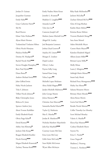Jordan D. Guinan Jacqueline Guzman Emily Hahn◆◆ Grace Catherine Harris◆ Shi He Reed Heeren Ethan Valor Heilman◆✜ Alyssa Marie Hermes Tesfamichael Tesfazion Hibtes Olivia Nicole Hinojosa Phylicia Hollins◆◆ Destiny M. Hudspeth◆ Rachel Nicole Huls◆◆◆ Steven Douglas Humphrey◆◆ Brett Paul Hyink◆◆◆ Diana Ibarra◆ Andrew Michael Irwin◆◆◆ John Gifford Irwin Haley Nicole Jackson Teka S. Johnson Tiffani Nicole Johnson◆ Blake Christopher Jones Rebecca K. Jones Spencer Andrew Jury Alexis Yvonne Karhliker Emily Elizabeth Kasak Olivia Paige Kelso◆ David Kenney◆◆ Ashley Ann Klinzing◆ Jackson Dale Knope◆✜ Reagan Elizabeth Koehler Nicole Koenig◆◆◆ Megan Elizabeth Krasowski◆ Zachary Thomas Kroll◆◆◆

Emily Nadine Marie Kruse Jennifer L. Kvamme◆ Madelyn E. Laughlin◆◆✜ Amanda Leach◆ Tyler Jon Lee◆ Cameron Joseph Leff Mathew James Mitchell Leis◆◆ Abigail M. Lemley Joel Benjamin Lemmert Joshua Lloyd Lenover◆ Anjelica M. Linares◆◆✜ Morgan E. Lindner Dajah Lockett Olivia J. Lohse Payton Selby Long Samuel Kane Long Yelixa Lopez◆◆ Michelle Lopez Medrano Alexa Xitlali Magana◆◆✜ Jaedyn Michelle Maltimore◆◆◆ John George Mantis Jelena Marasevic◆✜ Christine Ann Marczuk◆◆ Samantha Rachel Martin◆◆ Taylor Q. Mathenia Mae E. Matoka◆✜ Jordan B. Matthews◆◆ Nicholas Matthew Mayerhofer Julia Kay Mayfield◆◆◆ Coartney Leann McClain Erica Lynn McCrary Lilith Anne McCurdy◆◆ Sean-Mykle McGowan Wyatt Allen McIntyre

Riley Kade McKneelen◆◆ Jackson McLellan◆ Zachary Edward McVey◆◆◆ Gless Ai'Ling Meehan Kaitlin Marie Melton◆◆◆ Kristina Renee Melton Victoria Elizabeth Menge◆◆ Sara Anne Mentel Aiden Mitchelle Meyer Carson Marie Meyers◆◆ Kaitelyn Elizabeth Miguel Allison Joann Miller◆◆ Brittani Layne Miller◆ Molly Minas Laura J. Mingione◆◆◆ Ashleigh Marie Mizeur◆◆ Imani Isaly Monk Richard Perry Montgomery◆◆◆ Hailey Sue Moore◆◆ Saleana Mousette Moore Brittany Marie Morales◆◆◆ Alexis Renee Morris Gavin Earl Morris◆◆ Rendie Nicole Morton◆◆ Collin Timothy-Lee Moseley Scott Michael Moseley Valerie A. Mueller◆ Electa Kay Munson◆◆✜ Cydney Elizabeth Myers Soyeon Na Erica C. Natalie◆ Grace Negron✜ Madison J. Neuweg Trenton L. Newberry◆◆✜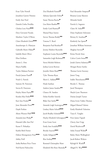Evan Tyler Newell Jonathon Garrett Nimmo Emily Ann Noel Daniela Umba Ntedika Chelsea Lora Nuss◆◆◆ Davy Giovanni Nyudu Matthew Taylor O'Brien Claire Elizabeth Oettel◆◆◆ Anuoluwapo A. Olaniyan Gabrielle Marie Oldani◆ Isabella Marie Oliver Elisa Orellana Anson L. Otto Mayra Padilla Taylor Makana Parriott Patryk Janusz Pasek◆ Noah G. Patrick Samone M. Patterson Steven R. Patterson Hayley Marie Payne◆◆ Kendra Mae Peifer◆◆◆ Kari Ann Pender◆◆ Jesse Alexander Perez◆◆ Dajah Perkins Alison Watson Pfaff ◆◆◆ Amanda Jean Phelps◆ Hannah Lillie Ann Piel Karan P. Pithadiya Kaitlin Beth Pottier Dalton Montgomery Pratt◆◆◆ Ashley Prell Anika Barbara Price-Tison Neil Kurtis Pulicicchio

Zita Elizabeth Purnell◆ Adriana Quevedo Ochoa◆ Susan Theresa Racine◆ Lisa Marie Rankin◆◆ Emily Carol Rasmus◆ Manuel Raya Santos Steven Thomas Reddy◆◆ Vanessa V. Reed Benjamin Paul Reinhart◆ Jeremy Mathew Reynolds Stephanie Louise Reynolds◆◆✜ Samantha Leigh Rickman◆◆ Sierra Michele Roberts Joshua Lavon Rowzee Jennifer Marie Rush◆◆✜ Tyler Thomas Ryan Sherri L. Saldana◆◆◆ Huda Samhan Andrew James Sanders◆◆ Chance M. Sanders Dylan Koehler Satterly Blake Xan Sattler◆◆ Amanda Leigh Scattergood◆◆◆ Lindsey Marie Scherff◆◆◆ Jacob Bradley Schmidt◆◆◆ Hayley Elizabeth Schwappach◆◆ Evan Grant Scott Emily Ann Scudella◆◆◆ Brooke Seacrist◆◆✜ Ayako Sekiguchi◆◆ Rita Senhaji◆◆◆ Rommel Christopher Shaw Elizabeth Mei Rose Shumake◆

Paul Alexander Simpson◆ Brianna Lynae Skeeters Miranda Smith Patrick A. Sogunro Claire M. Sokol◆✜ Daisy Stephanie Solorzano Britney K. Southard◆ Kimberly Sue Spann◆ Jonathan William Steinwart Meghan Stevens◆ Krista Nicole Stine Culver Curtis Stone◆◆ Josiah Zaitwa Sulamoyo◆✜ Morgan Renee Suttles Thomas Gavin Sweeney Jiawei Tang Iraklis Theocharatos◆◆◆ Brooks C. Thomas Jared Thompson Shayla Lynn Thurmon Darian Joseph Turner Diana Ivette Valdez-Thomas Miguel Manuel Valente Emily Elizabeth Valentine Taiya E. Vaughn Peter James Vignali Cherry Ann Voigt David Wachtveitl◆ Aisha Yousuf Wahid◆ Bailey Marie Wallingford Jacob Robert Walters Ryleigh B. Warfel◆ Abigail N. Way◆◆◆✜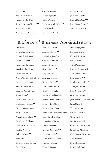| John D. Werland           | Christa Cheyenne                     | Emily Rae Yates                  |
|---------------------------|--------------------------------------|----------------------------------|
| Nicholas Lee Werries      | Willoughby***                        | Jason Yelvington                 |
| Hannah Jo Sabo West       | Ja'El M. Wilson                      | Brenna Marie York ***            |
| Samantha Morgan Wetter◆◆◆ | McKenzie Nicole Wilson <sup>++</sup> | Evan Wesley Zastrow◆             |
| Skye Williams***          | Tyler Wise $\leftrightarrow\bullet$  | Theodore James Zirk <sup>+</sup> |
| Zachary Robert Williamson | Mason T. Wisley <sup>++</sup>        |                                  |

### Bachelor of Business Administration

Jalyn Adams Mikaela Patricia Aguirre Brandon Scott Bannon◆ Dayna A. Bantz◆◆ Nathan Roy Bienemann Jennifer Michelle Blank Colton Blankenship Arianna Gabrielle Acelyn Boyd Paxton Lynne Brenden Brennan Garrett Brogni Benjamin Robert Butcher Terence Bynoe◆ Dallas Nicole Caldwell Mackenzie L. Camden◆◆ Declan Thomas Campbell Tracy L. Cessna Alannah Ashlee Chaney◆◆ Carly Elizabeth Chovanec Laura Eileen Collins◆◆◆ Lakrisha P. Conner Bailey N. Cross◆◆✜ Tory Davis Samantha Marcia Dawson Gali De Paz

Santa DeAngelo◆◆ Alexis K. Dhamrait◆✜ Andrea Mae Donahue Christine R. Dvoracek◆◆ Alexandria Farmer Gregory Farmer◆◆ Amy Beth Field◆ Amy Anne Fitzgerald Nolan P. Flaherty◆◆◆✜ Ryan Joseph Foree◆◆ Carolyn Jane Franke✜ Bradley Michael Frieburg Marina Paulina Gendek Lindsay Nicole Glynn Brooklyn Grace Goings✜ Mario Rafael Gonzalez Bejarano Jeana Michelle Griffiths Allison Eileen Hackett◆ Blake Harrison◆◆◆ Kathleen Rose Heinz◆◆ Emily Sue Holder◆◆ Rachel Katherine Jacobson Josh Scott Johnson Kaisha B. Johnson

Stephanie Jo Johnson Eric Louis Ketchum Karissa L. Kinkelaar Noah P. Krager Tricia Diane Laager Makenna S. Lauterbach◆ Valena Shanel Lavow✜ Erica Marie Lay◆◆ Jonathan Alan Leeb◆◆◆ Adam Jon Lisy◆◆◆ Brice R. Magowan◆ Gage James Marinelli Jesin Marie Candace Markham Srdan Markovic Tyrik W. Marshall Emily K. Martinie◆ Colby Joseph May Dax Tyler McCauley Cassandra Nicole McCoy Sierra Grace McCusker Keith Anthony McKeever Asma Midhat◆ Mitchell A. Nelson Ethan Joseph Paoli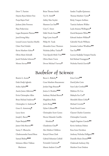Drew T. Parriott Dayton Ryan Robert Pate Pooja Rajen Patel Jackson John Peterson Pijus Petkevicius Logan Benjamin Plattner◆◆◆ Jared Ewing Riley Lenard Lenore Sanchez-Marble Claire Noel Schafer Kevin Matthew Scheer◆ Olivia Marie Schwalb Jacob Nicholas Schwartz✜ Menno Servaes◆◆◆

Brian Thomas Smith Tye N. Smith◆ Ashley Mae Snyder Shannon Lee Son◆◆ Cory C. Street Halle Nicole Stuart◆◆ Paige Lynn Stuart◆ Philip M. Tatak Alexandra Grace Thomsen Nicholas Jeffrey Tisckos◆ Tran Quynh Minh Truc◆◆◆ Olivia Marie Travis Devon Michael Travous◆

Sandra Trujillo-Quinonez Thomas Matthew Tyson◆ Ricky Vasquez Arellano Taaricia Sashawn Walker Layla Arianna Wellington◆ David Benjamin White◆◆ Edward Andrew Wilkins✜ Gabrielle Nicole Williams Jermaine Leshon Windham◆◆ Yun Yan◆◆◆ Lucrece Kadjidja Yompan Pancha Kal Michael Youngquist◆ Nicholas Patrick Zeeveld◆

# Bachelor of Science

Beatriz A. Acosta◆ Dede Dodji Agbodo Ardita Ajdini◆◆ Austin James Alderman◆✜ Ervin Christopher Allen Brian Michael Anderson◆ Christopher A. Anderson◆ Grace E. Armstrong◆ Lacey Ayers Joseph J. Bacon◆◆ Pujan Banjade◆◆◆ James Orlie Beavers◆✜ Sunny Y. Bharucha Chukwuemeka Fareed Biose Samuel Bishop◆◆◆ Solomon Albert Tilahun Blackmon

Becca L. Blakeley◆ Cesar Matthew Bracamonte Jordan Paige Branam◆ Jessica A. Brodeur◆◆◆ Anthony Michael Brown◆ Magdalena Buda Justin Burge◆◆◆ Dylan Calhoon◆◆ Christopher Scott Carnes Hector Eduardo Castillo- Mendoza◆ Chankrisna Chau◆ Alex Mathew Childress Katryel Onna Clark Gabrial Sebastian Cofield Fernando Contreras✜ Mason Andrew Coon◆

Erica Corral◆◆ David John Cotts Sean Luke Cowhick◆◆ Makinze Dc Cox Makayla Fae Cox✜ Meredith Eileen Crifasi◆ Michael Crowder◆ Noah David Crowe Clayton Charles Cummins Christopher Curatolo Angela Dagnino Canedo◆◆ Kevin Anthony Dalton Kara Irene Davidson Anthony Nicholas Delligatti◆◆ Danielle Marie Dennis◆◆◆ Chukwudi Anthony Diji Matthew Evan Dodson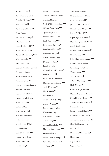Robert Duncan◆◆ Trevor Simon Dunkel Angelina M. Einert◆◆◆✜ Tala M. Elfaki◆✜ Kevin Michael Elfert◆◆ Breda Elmore Joshua Brian Eslinger◆◆◆ Jake Richard Fiedler Kenneth John Fields◆◆ Allyson Marie Fischer◆✜ Abigail Ellen Frohning◆◆✜ Victoria Ann Fry◆◆ Noah Marco Gaeta Gabrielle Christine Garland Brandon L. Garner Katelyn Marie Garner Benjamin Garrett◆◆ Kaitlyn Elizabeth Giddens Kenneth Gonzalez Lauren N. Griffin◆◆ Hannah Nicole Gudgel Mark Allen Hahn◆ Colton J. Hale Joycelynn M. Hall Mathew Colin Harms Sydney Mae Hart Munah Linda Welleh Henderson Cory Davis Henry◆◆◆ Gaylon Gene Hepner Mark Austin Herr◆ Savann Hing◆

Xavier Z. Hohenkirk Connor Andrew Hoover◆ Sheridan Houston Noah William Houtchens◆◆✜ William David Jacks<sup>◆◆◆</sup> Quintarus Jackson Bennett Riley Johnson Emily Ann Jones◆◆✜ Haroutioun Kalaidjian◆ John James Nicholas Karras Kaitlyn Jae Kemper◆◆◆ Carter Broderic King◆ Douglas Jay Kohn◆ Joseph A. Kolis Charles Everett Kuntzman◆ Ender Kunz◆◆◆✜ Lauren Marie Ladowski◆ Matthew Joseph Lapsley◆◆◆ Tavis W. Lawson◆ Nga Thanh Le◆◆ Gerson Leiva◆◆ Austin McKinley Liniger Zachary A. Link◆◆ Joshua David Litwicki Kenneth O. Lloyd Alexandrea N. Locker Ashley Long◆◆◆✜ Andrea Marie Lukert◆◆ Nicholas Garret Lykins◆◆◆ Giovanny Macias Daniel James Mahony◆◆◆✜ Samuel Robert Francisco Malawy◆◆

Zach Aaron Markley Nicolas Hunter McDaniel Ansel D. McDonald✜ Jacob Nicholas McGrath◆◆ Mikayla Renee McGraw◆◆ Joshua A. Melnick◆✜ Regina Agatha Mendiola◆◆◆ Hunter Keegan Miller◆◆◆✜ Aschli Nicole Minervini Ellie McCallister Mitchell◆◆ Neha Mokhasi◆◆✜ Brian Christopher Mounce◆◆◆ Kavuna Claude Muhire Rugi Ruragira Mulavya Taryn Murphy◆◆◆ Sarah A. Murray✜ Zelal Su Mustafaoglu◆◆◆✜ Holly Nafziger◆ Christian Angel Nevarez Hannah Nicole Nicolaisen◆ Meredith Mae Niermann◆◆ Tatiana Ajarb Nkemayim◆◆ Fernand Nogues Ikenna Preston Oduocha◆✜ Michelle Elizabeth Oldfield◆◆◆ Anayochukwu C. Onyewuchi Osayi B. Osaremwinda Lisa Oti◆✜ Donovan William Owens◆ Harsh Panchal Arpan Parikh◆ Sagar S. Patel◆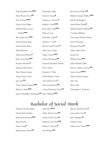| Yash Rajeshbhai Patel <sup>◆◆◆</sup>                | Deontashia Stigler                   | Kevin James Walker <sup>++</sup>      |
|-----------------------------------------------------|--------------------------------------|---------------------------------------|
| Hyler Warren Pence <sup>++</sup>                    | Derek R. Stump◆                      | Mildred Lorraine Wallace ***          |
| Evan Peterson <sup>+++</sup>                        | Anthony L. Sylvester <sup>**</sup>   | Jade R. Washington                    |
| Hunter Gene Phelps                                  | Bradley J. Szoke <sup>***</sup>      | Aaron Robert Webb <sup>+</sup>        |
| Kateland Myreta Lynn                                | Ryan Allen Tapp <sup>◆◆◆</sup>       | Mikaela Marche Williams <sup>++</sup> |
| Pollard <sup>***</sup>                              | Elliott R. Tate                      | Tara Shea Williams                    |
| Alec Jordan Price <sup>+++</sup>                    | Kelly Mae Tauber <sup>•</sup>        | Christopher Michael Wilson            |
| Jordan Damian Rago                                  | Anthony J. Tayfel                    | Garrett Woodard                       |
| Samuel Dylan Rikas                                  | Bryson Cordell Taylor                | Marianna Woods <sup>+</sup>           |
| Alisia Robinson                                     | Adin Garcia Temp                     | Sydney Marie Wyatt                    |
| Adam James Robson <sup>®</sup>                      | Diego Terrazas <sup>◆◆◆</sup>        | Jianjun Xia                           |
| Becky Lynn Rose <sup>+++</sup>                      | Nethra Thenappan <sup>++</sup>       | William Yount                         |
| Brandon Shockley <sup>+</sup>                       | Savannah Elizabeth Thomas            | Jadyn Michelle Zaffiri                |
| Kishuana Marie Slater                               | Alexis Throne                        | Warren Calderon Zanoria <sup>++</sup> |
| Marc Thomas Smaha                                   | Brandon S. Tibbs                     | Lizette Zavala <sup>++++</sup>        |
| Tristan Keane Sotelo                                | Noah Matthew Todd                    | Andreea Roxana Zegrea                 |
| Jesse Soto◆◆                                        | Oscar Daniel Toro                    | John Zeto                             |
| Trevor Michael Squires***                           | Nazira Usenkanova <sup>++</sup>      | Wenze Zhu                             |
| Robert E. Sroka***                                  | Carson Mackenzie Vance <sup>++</sup> | Christopher L. Zuchniarz              |
| James Christopher Steenbergen◆◆ Jesus Villalobos◆◆◆ |                                      |                                       |

### Bachelor of Social Work

Sinclaire Christina Baker David Charles Berkley Bailey Jean Brookens◆◆◆ Rickey Brown Storm Casad◆ Rachel Jeanne Elmer◆◆

Jared Faires◆◆◆ Ashley Marie Garcia◆◆ Nataly Cecilia Garcia◆ Elizabeth Ann Hoyt◆◆◆ Melissa E. Mooney◆ Amy Murphy◆◆

Marcey Elizabeth Otto◆ Jessica Marie Perez◆ Janet Rodriguez◆ Yolanda Taylor Sophia Lynn Vosnos◆◆◆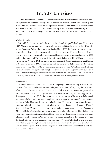### Faculty Emeritus

 The status of Faculty Emeritus is an honor awarded at retirement from the University to those faculty who have served the University well. The bestowal of Professor Emeritus status is a recognition of the value the University places on the experience, knowledge, and ability of its retiring faculty. This status is awarded in accordance with the University of Illinois statutes and University of Illinois Springfield policy. The following individuals have been selected to receive Faculty Emeritus status this year.

#### **Michael J. Lemke**

 Michael J. Lemke received his Ph.D. in Limnology from Michigan Technological University in 1992. After conducting post-doctoral research in Alabama and Ohio, he worked at Pace University in New York as an Assistant Professor before joining UIS in 1999. Dr. Lemke excelled in his career as a professor, deftly juggling the demands of student-centered teaching, service, and a rigorous research program with heavy student involvement. He was promoted to Associate Professor in 2003, and Full Professor in 2011. He received the University Scholars Award in 2003 and the Spencer Faculty Service Award in 2012. Dr. Lemke has been a Research Associate at the American Museum of Natural History since 2006. His service beyond the university includes serving on the editorial board of the journal *Microbial Ecology* and as state representative on MWGL Society for Ecological Restoration board. He has published over 35 peer- reviewed articles and taught across all course levels, from introductory biology to advanced ecology and evolution, both online and on ground. He served as primary advisor for 16 Master of Science students and over 20 undergraduate students.

#### **Heather Dell**

 Heather Dell earned her Ph.D. in Cultural Anthropology at Duke University in 1999. She was Director of Women's Studies at Rosemont College in Pennsylvania before joining the Department of Women and Gender Studies at UIS in 2000. Dr. Dell was awarded tenure and promoted to associate professor in 2006. She joined the Department of Sociology/Anthropology in 2021. Throughout her career at UIS, Dr. Dell was recognized as the epitome of the teacher-scholar model, integrating scholarship and teaching through a comparative approach to women's experiences and activism in India, Nicaragua, Mexico, and other locations. Her expertise in international women's issues, postcolonialism, and postmodern feminist theories contributed to curriculum in Women's Studies, Sociology/Anthropology, Political Science, and the Capital Scholars Honors Program. In 2011, Dr. Dell received the Pearson Faculty Award for excellence in teaching. Her scholarship on women sex workers in India was the basis of highly regarded articles, chapters, and presentations. As a founding faculty member in Capital Scholars Honors and a member of the working group that developed UIS' new general education curriculum in 2006, Dr. Dell helped to internationalize curriculum at UIS. Among her many contributions to the university, she served as Interim Associate Director of the Capital Scholars Honors Program, chair of Women and Gender Studies, and chair of the General Education Council.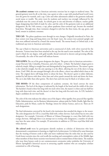*The academic costume* worn at American university exercises has its origin in medieval times. The general garment worn by all, at the time, was a gown or robe, a cape with attached hood (cowl) worn over the gown for warmth, and a cap. Color and other adornments added to the garments indicated social status or wealth. The attire worn by students and teachers was strongly influenced by the cathedrals near the center of study. As schools grew in size and diversity of subjects, teacher guilds began designating their field of study by color, and the color of the garments took on an additional designation. By the 14th century, a cap, pileus quadratus (four-cornered cap), became the standard head dress. Through time, these vestments changed in style but the three items, the cap, gown, and hood, remain in academic costumes.

**THE CAP:** The pileus quadratus went through its own changes. Originally introduced in Paris, the four corners were long and hung down over the head. Later, the corners were pointed upright and then were stiffened outward by a board (the mortar board). The mortar board, or Oxford style, is the traditional cap worn in American universities.

The cap is black in American universities and is constructed of cloth, with velvet reserved for the doctorate. Various items have been attached to the cap, but the tassel is now standard. The color of the tassel is black for any degree, with gold metallic thread restricted to doctors and governing officials. Occasionally, the color of the tassel will indicate honors.

**THE GOWN:** The cut of the gown designates the degree. The gown color in American universities – except Harvard, Yale, Columbia, Princeton, and a few others – is black. The bachelor's degree gown is relatively simple, falling in straight lines and distinguished by long pointed sleeves. The master's gown is also relatively straight, but the arm opening is at the elbow, allowing the rest of the sleeve to hang down. Until 1960, the arm emerged through a slit at the elbow, a sleeve was added which closes at the wrist. The original sleeve still hangs down to about the knee. The doctor's gown is rather elaborate, marked by bell sleeves with three velvet bars and velvet panels around the neck and down the front. The cut is also fuller than other gowns. The sleeve bars and trim may be black or of subject color.

**THE HOOD:** Of the three components of academic costume, the hood conveys the most information. The level of the degree is indicated by the length of the hood and the width of the trim. The bachelor's hood is three feet long with two-inch velvet trim, the master's is three and one-half feet long with three-inch trim, and the doctor's is four feet long with five-inch trim. At UIS, bachelor's degree candidates do not wear hoods.

The color of the trim indicates the subject area of the degree: white signifies Arts; peacock blue signifies Public Administration, tan for Business Administration, salmon pink for Public Health, light blue for Education, pink for Music, scarlet for Theology, lemon for Library Science, and so on. There are 35 such designations.

The final information conveyed by the hood is the institution that awarded the degree to the wearer. The color designation for UIS is a royal blue field with a white chevron. Each school has its own color designator. For example, University of Illinois at Urbana-Champaign is a navy blue field with two orange chevrons. Although there is an attempt not to overlap color designators, a number of schools may have the same colors. For example, 39 universities in addition to UIS have royal blue field with white chevron.

*The colored cords* worn by participants identify students as scholars of distinction who have demonstrated a commitment to learning at a high level of achievement. It is believed by some historians that the wearing of honors cords is older and more traditional than the stoles that are also used by Greek honor societies since the cord recalls the teaching and contemplative orders of the Middle Ages when members of these honor societies wore knotted cords to remind them of their duties. The students who wear these honors cords in our commencement ceremonies today symbolize the University of Illinois Springfield's historical success in attracting capable students who are exemplary scholars committed to a life of learning.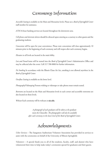### Ceremony Information

*Accessible Seating* is available on the Main and Mezzanine levels. Please see a *Bank of Springfield Center* staff member for assistance.

*ATM* 24-hour banking services are located throughout the downtown area.

*Cell phones and electronic devices* should be silenced upon entering as a courtesy to other guests and the graduating students.

*Concessions* will be open for your convenience. Please note concessions will close approximately 10 minutes prior to the beginning of each ceremony and will reopen after each ceremony begins.

*Elevators* to all levels are located in the main lobby.

*Lost and Found* items will be turned into the *Bank of Springfield Center's* Administrative Office and may be collected after the event. Call 217-788-8800 for further information.

*No Smoking* In accordance with the Illinois Clean Air Act, smoking is not allowed anywhere in the *Bank of Springfield Center*.

*Overflow Seating* is available on the lower level.

*Photography/Videotaping* Persons wishing to videotape or take photos must remain seated.

*Restrooms* are located on the Main and Mezzanine levels in each corner and accessible restrooms are also located on those levels.

*Webcast* Each ceremony will be webcast at **uis.edu**.

*A photograph of each graduate will be taken as the graduate meets the Chancellor. The photographer will also be available after each ceremony in the lower level of the Bank of Springfield Center.*

# Acknowledgments

*Usher Services* – The Sangamon Auditorium Volunteer Association has provided its services to assist with the ceremonies on behalf of the University of Illinois Springfield.

*Volunteers* – A special thank you to all of the students, faculty, staff, and alumni who have volunteered their time to help make today's ceremonies special for graduates and their guests.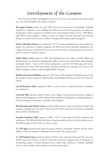# Development of the Campus

 The University of Illinois Springfield is located on 746 acres on the southeast side of the capital city, near Lake Springfield. The campus comprises:

**The Legacy Campus,** built in the early 1970s, is home to the university's first buildings. Originally intended as "temporary," these buildings have been renovated for many purposes over the years. Among their current occupants are Health Services, International Student Services, NPR Illinois radio, Illinois Issues magazine, a child care center, art studios and music rehearsal rooms, Human Resources, and the Exercise Science, Athletic Training, and Nursing academic programs.

**Norris L Brookens Library** was completed in 1975. A major learning/resource center designed to support the university's academic programs, the library also houses Brookens Auditorium; the College of Education and Human Services; the Center for Online Learning, Research and Service; and the Center for Academic Success.

**Public Affairs Center** opened in 1980. The building houses the College of Public Affairs and Administration, the university's administrative offices, the Center for State Policy and Leadership, the Studio Theatre – home to UIS Theatre productions – and the UIS Performing Arts Center, which hosts more than 100 music, theater, and dance performances annually and is home to the Illinois Symphony Orchestra and Springfield Ballet Company.

**Health and Sciences Building,** opened in 1992, houses UIS biological and physical sciences and the computer science program in high tech labs. The building is also home to the UIS Visual Arts Gallery.

**Lincoln Residence Hall**, completed in 2001, is a state-of-the-art residential facility for freshmen and sophomores.

**University Hall**, opened in 2004, is home to the College of Liberal Arts and Sciences, College of Business and Management, and the offices within Enrollment Management, including Admission, Financial Assistance, Orientation, and Office of the Registrar.

**The Recreation and Athletic Center,** opened in 2007, houses a sports arena, fitness facilities, and an indoor running track. The arena is home to the UIS Prairie Stars men's and women's basketball teams and the volleyball team.

**Founders Residence Hall**, opened in 2008, is UIS' second residence hall for freshmen and sophomores. The 200-bed facility also features classrooms and the offices of several student services. The hall has a green roof in order to conserve energy.

The **UIS quad**, located in the center of campus, features a colonnade, fountain, and the newest addition, a life-size sculpture of Abraham Lincoln, titled "The Young Lawyer."

The **UIS Student Union** opened in January of 2018 on the south end of the quad. The two-story, 50,000- square-foot facility is a hub for student life and fosters a greater sense of community on the growing campus. It includes dining services, a coffee shop, a ballroom, a Student Leadership Center, volunteer offices and workspaces for student organizations.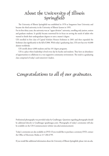### About the University of Illinois **Springfield**

 The University of Illinois Springfield was established in 1970 as Sangamon State University and became the third university in the University of Illinois System in 1995.

For its first thirty years, the university was an "upper division" university, enrolling only juniors, seniors and graduate students. It quickly became renowned for its focus on serving the needs of adults who wanted to finish their undergraduate degrees or earn a master's degree.

UIS enrolled its first class of Capital Scholars Honors freshmen in 2001 and then expanded the freshman class significantly in the fall of 2006. With today's graduating class, UIS now has over 44,000 alumni worldwide.

UIS enrolls about 4,000 students and has 101 degree programs.

 UIS is a place where leadership is lived every day by faculty and students. They have an abundance of opportunities to collaborate in a very supportive community environment. The result is a graduating class comprised of today's and tomorrow's leaders.

# Congratulations to all of our graduates.

Professional photography was provided today by GradImages. Questions regarding photographs should be addressed directly to GradImages (gradimages.com). Photographs of today's ceremonies will also be available on the UIS Commencement website (uis.edu/commencement).

Today's ceremonies are also available on DVD. If you would like to purchase a ceremony DVD, contact the Office of Electronic Media at 217-206-6799.

If you would like additional information about the University of Illinois Springfield, please visit uis.edu.